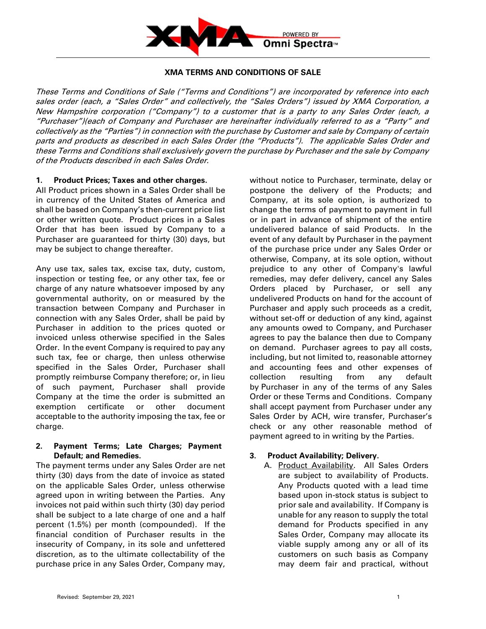

### **XMA TERMS AND CONDITIONS OF SALE**

These Terms and Conditions of Sale ("Terms and Conditions") are incorporated by reference into each sales order (each, a "Sales Order" and collectively, the "Sales Orders") issued by XMA Corporation, a New Hampshire corporation ("Company") to <sup>a</sup> customer that is a party to any Sales Order (each, a "Purchaser")(each of Company and Purchaser are hereinafter individually referred to as a "Party" and collectively as the "Parties") in connection with the purchase by Customer and sale by Company of certain parts and products as described in each Sales Order (the "Products"). The applicable Sales Order and these Terms and Conditions shall exclusively govern the purchase by Purchaser and the sale by Company of the Products described in each Sales Order.

#### **1. Product Prices; Taxes and other charges.**

All Product prices shown in a Sales Order shall be in currency of the United States of America and shall be based on Company's then-current price list or other written quote. Product prices in a Sales Order that has been issued by Company to a Purchaser are guaranteed for thirty (30) days, but may be subject to change thereafter.

Any use tax, sales tax, excise tax, duty, custom, inspection or testing fee, or any other tax, fee or charge of any nature whatsoever imposed by any governmental authority, on or measured by the transaction between Company and Purchaser in connection with any Sales Order, shall be paid by Purchaser in addition to the prices quoted or invoiced unless otherwise specified in the Sales Order. In the event Company is required to pay any such tax, fee or charge, then unless otherwise specified in the Sales Order, Purchaser shall promptly reimburse Company therefore; or, in lieu of such payment, Purchaser shall provide Company at the time the order is submitted an exemption certificate or other document acceptable to the authority imposing the tax, fee or charge.

### **2. Payment Terms; Late Charges; Payment Default; and Remedies.**

The payment terms under any Sales Order are net thirty (30) days from the date of invoice as stated on the applicable Sales Order, unless otherwise agreed upon in writing between the Parties. Any invoices not paid within such thirty (30) day period shall be subject to a late charge of one and a half percent (1.5%) per month (compounded). If the financial condition of Purchaser results in the insecurity of Company, in its sole and unfettered discretion, as to the ultimate collectability of the purchase price in any Sales Order, Company may,

without notice to Purchaser, terminate, delay or postpone the delivery of the Products; and Company, at its sole option, is authorized to change the terms of payment to payment in full or in part in advance of shipment of the entire undelivered balance of said Products. In the event of any default by Purchaser in the payment of the purchase price under any Sales Order or otherwise, Company, at its sole option, without prejudice to any other of Company's lawful remedies, may defer delivery, cancel any Sales Orders placed by Purchaser, or sell any undelivered Products on hand for the account of Purchaser and apply such proceeds as a credit, without set-off or deduction of any kind, against any amounts owed to Company, and Purchaser agrees to pay the balance then due to Company on demand. Purchaser agrees to pay all costs, including, but not limited to, reasonable attorney and accounting fees and other expenses of collection resulting from any default by Purchaser in any of the terms of any Sales Order or these Terms and Conditions. Company shall accept payment from Purchaser under any Sales Order by ACH, wire transfer, Purchaser's check or any other reasonable method of payment agreed to in writing by the Parties.

# **3. Product Availability; Delivery.**

A. Product Availability. All Sales Orders are subject to availability of Products. Any Products quoted with a lead time based upon in-stock status is subject to prior sale and availability. If Company is unable for any reason to supply the total demand for Products specified in any Sales Order, Company may allocate its viable supply among any or all of its customers on such basis as Company may deem fair and practical, without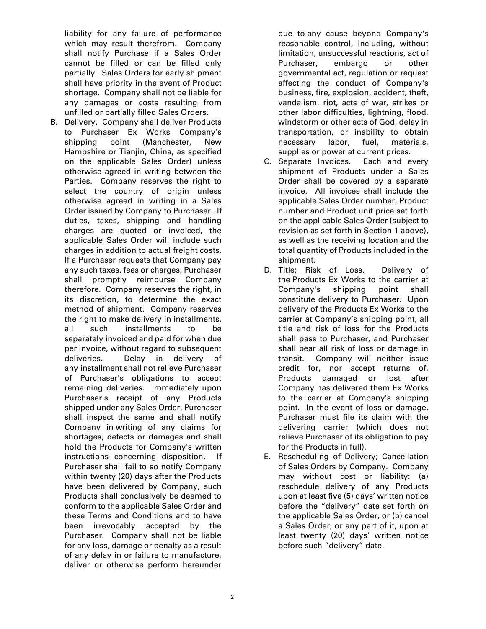liability for any failure of performance which may result therefrom. Company shall notify Purchase if a Sales Order cannot be filled or can be filled only partially. Sales Orders for early shipment shall have priority in the event of Product shortage. Company shall not be liable for any damages or costs resulting from unfilled or partially filled Sales Orders.

B. Delivery. Company shall deliver Products to Purchaser Ex Works Company's shipping point (Manchester, New Hampshire or Tianjin, China, as specified on the applicable Sales Order) unless otherwise agreed in writing between the Parties. Company reserves the right to select the country of origin unless otherwise agreed in writing in a Sales Order issued by Company to Purchaser. If duties, taxes, shipping and handling charges are quoted or invoiced, the applicable Sales Order will include such charges in addition to actual freight costs. If a Purchaser requests that Company pay any such taxes, fees or charges, Purchaser shall promptly reimburse Company therefore. Company reserves the right, in its discretion, to determine the exact method of shipment. Company reserves the right to make delivery in installments, all such installments to be separately invoiced and paid for when due per invoice, without regard to subsequent deliveries. Delay in delivery of any installment shall not relieve Purchaser of Purchaser's obligations to accept remaining deliveries. Immediately upon Purchaser's receipt of any Products shipped under any Sales Order, Purchaser shall inspect the same and shall notify Company in writing of any claims for shortages, defects or damages and shall hold the Products for Company's written instructions concerning disposition. If Purchaser shall fail to so notify Company within twenty (20) days after the Products have been delivered by Company, such Products shall conclusively be deemed to conform to the applicable Sales Order and these Terms and Conditions and to have been irrevocably accepted by the Purchaser. Company shall not be liable for any loss, damage or penalty as a result of any delay in or failure to manufacture, deliver or otherwise perform hereunder

due to any cause beyond Company's reasonable control, including, without limitation, unsuccessful reactions, act of Purchaser, embargo or other governmental act, regulation or request affecting the conduct of Company's business, fire, explosion, accident, theft, vandalism, riot, acts of war, strikes or other labor difficulties, lightning, flood, windstorm or other acts of God, delay in transportation, or inability to obtain necessary labor, fuel, materials, supplies or power at current prices.

- C. Separate Invoices. Each and every shipment of Products under a Sales Order shall be covered by a separate invoice. All invoices shall include the applicable Sales Order number, Product number and Product unit price set forth on the applicable Sales Order (subject to revision as set forth in Section 1 above), as well as the receiving location and the total quantity of Products included in the shipment.
- D. Title; Risk of Loss. Delivery of the Products Ex Works to the carrier at Company's shipping point shall constitute delivery to Purchaser. Upon delivery of the Products Ex Works to the carrier at Company's shipping point, all title and risk of loss for the Products shall pass to Purchaser, and Purchaser shall bear all risk of loss or damage in transit. Company will neither issue credit for, nor accept returns of, Products damaged or lost after Company has delivered them Ex Works to the carrier at Company's shipping point. In the event of loss or damage, Purchaser must file its claim with the delivering carrier (which does not relieve Purchaser of its obligation to pay for the Products in full).
- E. Rescheduling of Delivery; Cancellation of Sales Orders by Company. Company may without cost or liability: (a) reschedule delivery of any Products upon at least five (5) days' written notice before the "delivery" date set forth on the applicable Sales Order, or (b) cancel a Sales Order, or any part of it, upon at least twenty (20) days' written notice before such "delivery" date.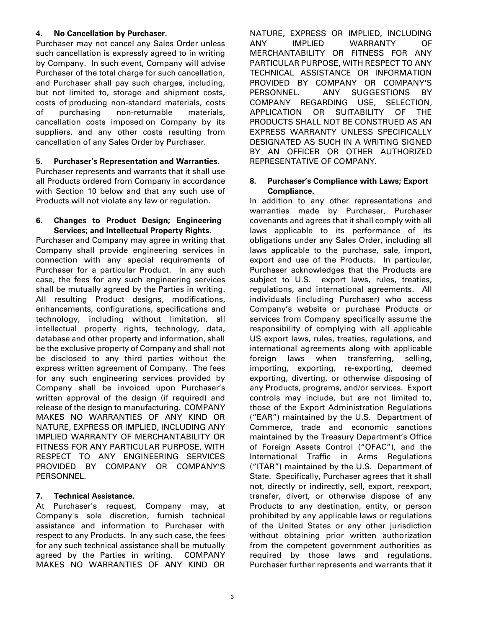### **4. No Cancellation by Purchaser.**

Purchaser may not cancel any Sales Order unless such cancellation is expressly agreed to in writing by Company. In such event, Company will advise Purchaser of the total charge for such cancellation, and Purchaser shall pay such charges, including, but not limited to, storage and shipment costs, costs of producing non-standard materials, costs of purchasing non-returnable materials, cancellation costs imposed on Company by its suppliers, and any other costs resulting from cancellation of any Sales Order by Purchaser.

### **5. Purchaser's Representation and Warranties.**

Purchaser represents and warrants that it shall use all Products ordered from Company in accordance with Section 10 below and that any such use of Products will not violate any law or regulation.

#### **6. Changes to Product Design; Engineering Services; and Intellectual Property Rights.**

Purchaser and Company may agree in writing that Company shall provide engineering services in connection with any special requirements of Purchaser for a particular Product. In any such case, the fees for any such engineering services shall be mutually agreed by the Parties in writing. All resulting Product designs, modifications, enhancements, configurations, specifications and technology, including without limitation, all intellectual property rights, technology, data, database and other property and information, shall be the exclusive property of Company and shall not be disclosed to any third parties without the express written agreement of Company. The fees for any such engineering services provided by Company shall be invoiced upon Purchaser's written approval of the design (if required) and release of the design to manufacturing. COMPANY MAKES NO WARRANTIES OF ANY KIND OR NATURE, EXPRESS OR IMPLIED, INCLUDING ANY IMPLIED WARRANTY OF MERCHANTABILITY OR FITNESS FOR ANY PARTICULAR PURPOSE, WITH RESPECT TO ANY ENGINEERING SERVICES PROVIDED BY COMPANY OR COMPANY'S PERSONNEL.

# **7. Technical Assistance.**

At Purchaser's request, Company may, at Company's sole discretion, furnish technical assistance and information to Purchaser with respect to any Products. In any such case, the fees for any such technical assistance shall be mutually agreed by the Parties in writing. COMPANY MAKES NO WARRANTIES OF ANY KIND OR NATURE, EXPRESS OR IMPLIED, INCLUDING ANY IMPLIED WARRANTY OF MERCHANTABILITY OR FITNESS FOR ANY PARTICULAR PURPOSE, WITH RESPECT TO ANY TECHNICAL ASSISTANCE OR INFORMATION PROVIDED BY COMPANY OR COMPANY'S PERSONNEL. ANY SUGGESTIONS BY COMPANY REGARDING USE, SELECTION, APPLICATION OR SUITABILITY OF THE PRODUCTS SHALL NOT BE CONSTRUED AS AN EXPRESS WARRANTY UNLESS SPECIFICALLY DESIGNATED AS SUCH IN A WRITING SIGNED BY AN OFFICER OR OTHER AUTHORIZED REPRESENTATIVE OF COMPANY.

#### **8. Purchaser's Compliance with Laws; Export Compliance.**

In addition to any other representations and warranties made by Purchaser, Purchaser covenants and agrees that it shall comply with all laws applicable to its performance of its obligations under any Sales Order, including all laws applicable to the purchase, sale, import, export and use of the Products. In particular, Purchaser acknowledges that the Products are subject to U.S. export laws, rules, treaties, regulations, and international agreements. All individuals (including Purchaser) who access Company's website or purchase Products or services from Company specifically assume the responsibility of complying with all applicable US export laws, rules, treaties, regulations, and international agreements along with applicable foreign laws when transferring, selling, importing, exporting, re-exporting, deemed exporting, diverting, or otherwise disposing of any Products, programs, and/or services. Export controls may include, but are not limited to, those of the Export Administration Regulations ("EAR") maintained by the U.S. Department of Commerce, trade and economic sanctions maintained by the Treasury Department's Office of Foreign Assets Control ("OFAC"), and the International Traffic in Arms Regulations ("ITAR") maintained by the U.S. Department of State. Specifically, Purchaser agrees that it shall not, directly or indirectly, sell, export, reexport, transfer, divert, or otherwise dispose of any Products to any destination, entity, or person prohibited by any applicable laws or regulations of the United States or any other jurisdiction without obtaining prior written authorization from the competent government authorities as required by those laws and regulations. Purchaser further represents and warrants that it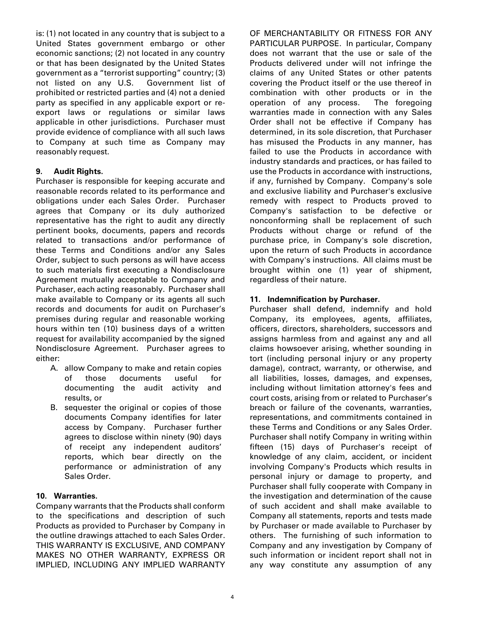is: (1) not located in any country that is subject to a United States government embargo or other economic sanctions; (2) not located in any country or that has been designated by the United States government as a "terrorist supporting" country; (3) not listed on any U.S. Government list of prohibited or restricted parties and (4) not a denied party as specified in any applicable export or reexport laws or regulations or similar laws applicable in other jurisdictions. Purchaser must provide evidence of compliance with all such laws to Company at such time as Company may reasonably request.

### **9. Audit Rights.**

Purchaser is responsible for keeping accurate and reasonable records related to its performance and obligations under each Sales Order. Purchaser agrees that Company or its duly authorized representative has the right to audit any directly pertinent books, documents, papers and records related to transactions and/or performance of these Terms and Conditions and/or any Sales Order, subject to such persons as will have access to such materials first executing a Nondisclosure Agreement mutually acceptable to Company and Purchaser, each acting reasonably. Purchaser shall make available to Company or its agents all such records and documents for audit on Purchaser's premises during regular and reasonable working hours within ten (10) business days of a written request for availability accompanied by the signed Nondisclosure Agreement. Purchaser agrees to either:

- A. allow Company to make and retain copies of those documents useful for documenting the audit activity and results, or
- B. sequester the original or copies of those documents Company identifies for later access by Company. Purchaser further agrees to disclose within ninety (90) days of receipt any independent auditors' reports, which bear directly on the performance or administration of any Sales Order.

### **10. Warranties.**

Company warrants that the Products shall conform to the specifications and description of such Products as provided to Purchaser by Company in the outline drawings attached to each Sales Order. THIS WARRANTY IS EXCLUSIVE, AND COMPANY MAKES NO OTHER WARRANTY, EXPRESS OR IMPLIED, INCLUDING ANY IMPLIED WARRANTY OF MERCHANTABILITY OR FITNESS FOR ANY PARTICULAR PURPOSE. In particular, Company does not warrant that the use or sale of the Products delivered under will not infringe the claims of any United States or other patents covering the Product itself or the use thereof in combination with other products or in the operation of any process. The foregoing warranties made in connection with any Sales Order shall not be effective if Company has determined, in its sole discretion, that Purchaser has misused the Products in any manner, has failed to use the Products in accordance with industry standards and practices, or has failed to use the Products in accordance with instructions, if any, furnished by Company. Company's sole and exclusive liability and Purchaser's exclusive remedy with respect to Products proved to Company's satisfaction to be defective or nonconforming shall be replacement of such Products without charge or refund of the purchase price, in Company's sole discretion, upon the return of such Products in accordance with Company's instructions. All claims must be brought within one (1) year of shipment, regardless of their nature.

## **11. Indemnification by Purchaser.**

Purchaser shall defend, indemnify and hold Company, its employees, agents, affiliates, officers, directors, shareholders, successors and assigns harmless from and against any and all claims howsoever arising, whether sounding in tort (including personal injury or any property damage), contract, warranty, or otherwise, and all liabilities, losses, damages, and expenses, including without limitation attorney's fees and court costs, arising from or related to Purchaser's breach or failure of the covenants, warranties, representations, and commitments contained in these Terms and Conditions or any Sales Order. Purchaser shall notify Company in writing within fifteen (15) days of Purchaser's receipt of knowledge of any claim, accident, or incident involving Company's Products which results in personal injury or damage to property, and Purchaser shall fully cooperate with Company in the investigation and determination of the cause of such accident and shall make available to Company all statements, reports and tests made by Purchaser or made available to Purchaser by others. The furnishing of such information to Company and any investigation by Company of such information or incident report shall not in any way constitute any assumption of any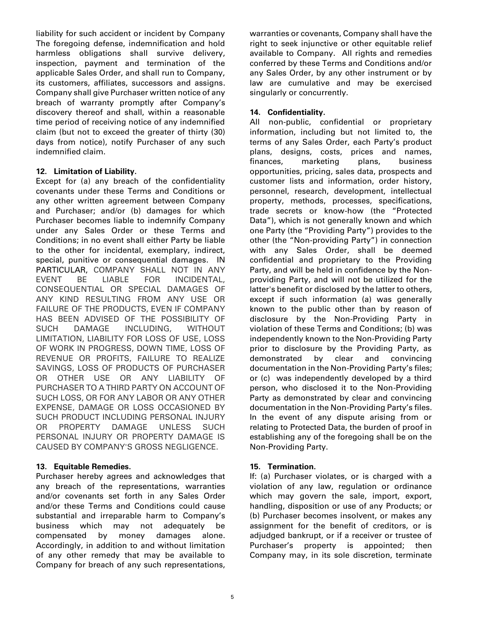liability for such accident or incident by Company The foregoing defense, indemnification and hold harmless obligations shall survive delivery, inspection, payment and termination of the applicable Sales Order, and shall run to Company, its customers, affiliates, successors and assigns. Company shall give Purchaser written notice of any breach of warranty promptly after Company's discovery thereof and shall, within a reasonable time period of receiving notice of any indemnified claim (but not to exceed the greater of thirty (30) days from notice), notify Purchaser of any such indemnified claim.

## **12. Limitation of Liability.**

Except for (a) any breach of the confidentiality covenants under these Terms and Conditions or any other written agreement between Company and Purchaser; and/or (b) damages for which Purchaser becomes liable to indemnify Company under any Sales Order or these Terms and Conditions; in no event shall either Party be liable to the other for incidental, exemplary, indirect, special, punitive or consequential damages. IN PARTICULAR, COMPANY SHALL NOT IN ANY EVENT BE LIABLE FOR INCIDENTAL, CONSEQUENTIAL OR SPECIAL DAMAGES OF ANY KIND RESULTING FROM ANY USE OR FAILURE OF THE PRODUCTS, EVEN IF COMPANY HAS BEEN ADVISED OF THE POSSIBILITY OF SUCH DAMAGE INCLUDING, WITHOUT LIMITATION, LIABILITY FOR LOSS OF USE, LOSS OF WORK IN PROGRESS, DOWN TIME, LOSS OF REVENUE OR PROFITS, FAILURE TO REALIZE SAVINGS, LOSS OF PRODUCTS OF PURCHASER OR OTHER USE OR ANY LIABILITY OF PURCHASER TO A THIRD PARTY ON ACCOUNT OF SUCH LOSS, OR FOR ANY LABOR OR ANY OTHER EXPENSE, DAMAGE OR LOSS OCCASIONED BY SUCH PRODUCT INCLUDING PERSONAL INJURY OR PROPERTY DAMAGE UNLESS SUCH PERSONAL INJURY OR PROPERTY DAMAGE IS CAUSED BY COMPANY'S GROSS NEGLIGENCE.

# **13. Equitable Remedies.**

Purchaser hereby agrees and acknowledges that any breach of the representations, warranties and/or covenants set forth in any Sales Order and/or these Terms and Conditions could cause substantial and irreparable harm to Company's business which may not adequately be compensated by money damages alone. Accordingly, in addition to and without limitation of any other remedy that may be available to Company for breach of any such representations, warranties or covenants, Company shall have the right to seek injunctive or other equitable relief available to Company. All rights and remedies conferred by these Terms and Conditions and/or any Sales Order, by any other instrument or by law are cumulative and may be exercised singularly or concurrently.

# **14. Confidentiality.**

All non-public, confidential or proprietary information, including but not limited to, the terms of any Sales Order, each Party's product plans, designs, costs, prices and names, finances, marketing plans, business opportunities, pricing, sales data, prospects and customer lists and information, order history, personnel, research, development, intellectual property, methods, processes, specifications, trade secrets or know-how (the "Protected Data"), which is not generally known and which one Party (the "Providing Party") provides to the other (the "Non-providing Party") in connection with any Sales Order, shall be deemed confidential and proprietary to the Providing Party, and will be held in confidence by the Nonproviding Party, and will not be utilized for the latter's benefit or disclosed by the latter to others, except if such information (a) was generally known to the public other than by reason of disclosure by the Non-Providing Party in violation of these Terms and Conditions; (b) was independently known to the Non-Providing Party prior to disclosure by the Providing Party, as demonstrated by clear and convincing documentation in the Non-Providing Party's files; or (c) was independently developed by a third person, who disclosed it to the Non-Providing Party as demonstrated by clear and convincing documentation in the Non-Providing Party's files. In the event of any dispute arising from or relating to Protected Data, the burden of proof in establishing any of the foregoing shall be on the Non-Providing Party.

# **15. Termination.**

If: (a) Purchaser violates, or is charged with a violation of any law, regulation or ordinance which may govern the sale, import, export, handling, disposition or use of any Products; or (b) Purchaser becomes insolvent, or makes any assignment for the benefit of creditors, or is adjudged bankrupt, or if a receiver or trustee of Purchaser's property is appointed; then Company may, in its sole discretion, terminate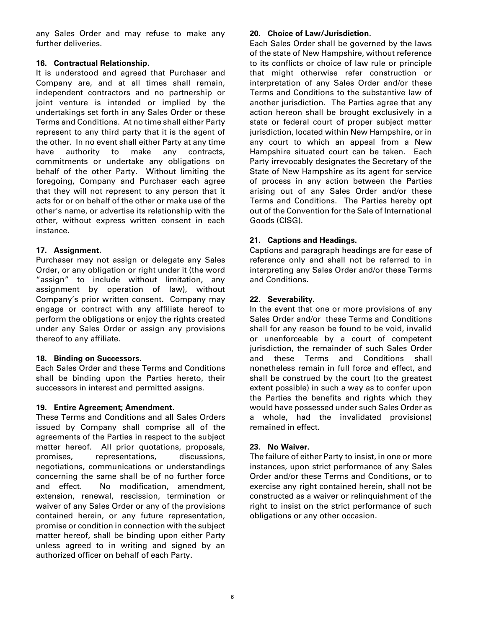any Sales Order and may refuse to make any further deliveries.

# **16. Contractual Relationship.**

It is understood and agreed that Purchaser and Company are, and at all times shall remain, independent contractors and no partnership or joint venture is intended or implied by the undertakings set forth in any Sales Order or these Terms and Conditions. At no time shall either Party represent to any third party that it is the agent of the other. In no event shall either Party at any time have authority to make any contracts, commitments or undertake any obligations on behalf of the other Party. Without limiting the foregoing, Company and Purchaser each agree that they will not represent to any person that it acts for or on behalf of the other or make use of the other's name, or advertise its relationship with the other, without express written consent in each instance.

## **17. Assignment.**

Purchaser may not assign or delegate any Sales Order, or any obligation or right under it (the word "assign" to include without limitation, any assignment by operation of law), without Company's prior written consent. Company may engage or contract with any affiliate hereof to perform the obligations or enjoy the rights created under any Sales Order or assign any provisions thereof to any affiliate.

# **18. Binding on Successors.**

Each Sales Order and these Terms and Conditions shall be binding upon the Parties hereto, their successors in interest and permitted assigns.

# **19. Entire Agreement; Amendment.**

These Terms and Conditions and all Sales Orders issued by Company shall comprise all of the agreements of the Parties in respect to the subject matter hereof. All prior quotations, proposals, promises, representations, discussions, negotiations, communications or understandings concerning the same shall be of no further force and effect. No modification, amendment, extension, renewal, rescission, termination or waiver of any Sales Order or any of the provisions contained herein, or any future representation, promise or condition in connection with the subject matter hereof, shall be binding upon either Party unless agreed to in writing and signed by an authorized officer on behalf of each Party.

#### **20. Choice of Law/Jurisdiction.**

Each Sales Order shall be governed by the laws of the state of New Hampshire, without reference to its conflicts or choice of law rule or principle that might otherwise refer construction or interpretation of any Sales Order and/or these Terms and Conditions to the substantive law of another jurisdiction. The Parties agree that any action hereon shall be brought exclusively in a state or federal court of proper subject matter jurisdiction, located within New Hampshire, or in any court to which an appeal from a New Hampshire situated court can be taken. Each Party irrevocably designates the Secretary of the State of New Hampshire as its agent for service of process in any action between the Parties arising out of any Sales Order and/or these Terms and Conditions. The Parties hereby opt out of the Convention for the Sale of International Goods (CISG).

## **21. Captions and Headings.**

Captions and paragraph headings are for ease of reference only and shall not be referred to in interpreting any Sales Order and/or these Terms and Conditions.

## **22. Severability.**

In the event that one or more provisions of any Sales Order and/or these Terms and Conditions shall for any reason be found to be void, invalid or unenforceable by a court of competent jurisdiction, the remainder of such Sales Order and these Terms and Conditions shall nonetheless remain in full force and effect, and shall be construed by the court (to the greatest extent possible) in such a way as to confer upon the Parties the benefits and rights which they would have possessed under such Sales Order as a whole, had the invalidated provisions) remained in effect.

### **23. No Waiver.**

The failure of either Party to insist, in one or more instances, upon strict performance of any Sales Order and/or these Terms and Conditions, or to exercise any right contained herein, shall not be constructed as a waiver or relinquishment of the right to insist on the strict performance of such obligations or any other occasion.